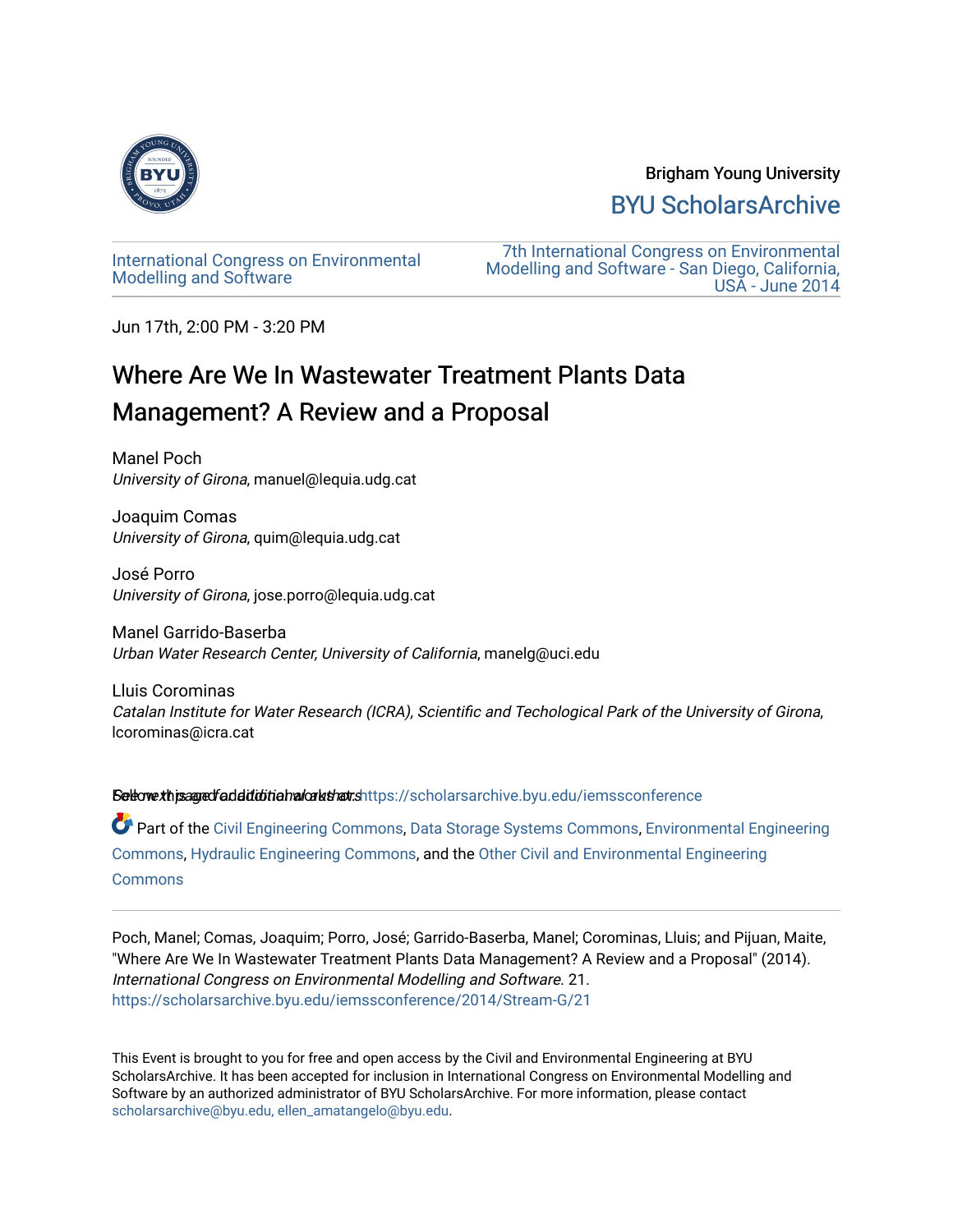

## Brigham Young University [BYU ScholarsArchive](https://scholarsarchive.byu.edu/)

[International Congress on Environmental](https://scholarsarchive.byu.edu/iemssconference)  [Modelling and Software](https://scholarsarchive.byu.edu/iemssconference) 

[7th International Congress on Environmental](https://scholarsarchive.byu.edu/iemssconference/2014)  [Modelling and Software - San Diego, California,](https://scholarsarchive.byu.edu/iemssconference/2014)  [USA - June 2014](https://scholarsarchive.byu.edu/iemssconference/2014) 

Jun 17th, 2:00 PM - 3:20 PM

# Where Are We In Wastewater Treatment Plants Data Management? A Review and a Proposal

Manel Poch University of Girona, manuel@lequia.udg.cat

Joaquim Comas University of Girona, quim@lequia.udg.cat

José Porro University of Girona, jose.porro@lequia.udg.cat

Manel Garrido-Baserba Urban Water Research Center, University of California, manelg@uci.edu

Lluis Corominas Catalan Institute for Water Research (ICRA), Scientific and Techological Park of the University of Girona, lcorominas@icra.cat

Settow this agred faddiditional art that s[https://scholarsarchive.byu.edu/iemssconference](https://scholarsarchive.byu.edu/iemssconference?utm_source=scholarsarchive.byu.edu%2Fiemssconference%2F2014%2FStream-G%2F21&utm_medium=PDF&utm_campaign=PDFCoverPages)

Part of the [Civil Engineering Commons](http://network.bepress.com/hgg/discipline/252?utm_source=scholarsarchive.byu.edu%2Fiemssconference%2F2014%2FStream-G%2F21&utm_medium=PDF&utm_campaign=PDFCoverPages), [Data Storage Systems Commons,](http://network.bepress.com/hgg/discipline/261?utm_source=scholarsarchive.byu.edu%2Fiemssconference%2F2014%2FStream-G%2F21&utm_medium=PDF&utm_campaign=PDFCoverPages) [Environmental Engineering](http://network.bepress.com/hgg/discipline/254?utm_source=scholarsarchive.byu.edu%2Fiemssconference%2F2014%2FStream-G%2F21&utm_medium=PDF&utm_campaign=PDFCoverPages) [Commons](http://network.bepress.com/hgg/discipline/254?utm_source=scholarsarchive.byu.edu%2Fiemssconference%2F2014%2FStream-G%2F21&utm_medium=PDF&utm_campaign=PDFCoverPages), [Hydraulic Engineering Commons,](http://network.bepress.com/hgg/discipline/1087?utm_source=scholarsarchive.byu.edu%2Fiemssconference%2F2014%2FStream-G%2F21&utm_medium=PDF&utm_campaign=PDFCoverPages) and the [Other Civil and Environmental Engineering](http://network.bepress.com/hgg/discipline/257?utm_source=scholarsarchive.byu.edu%2Fiemssconference%2F2014%2FStream-G%2F21&utm_medium=PDF&utm_campaign=PDFCoverPages)  **[Commons](http://network.bepress.com/hgg/discipline/257?utm_source=scholarsarchive.byu.edu%2Fiemssconference%2F2014%2FStream-G%2F21&utm_medium=PDF&utm_campaign=PDFCoverPages)** 

Poch, Manel; Comas, Joaquim; Porro, José; Garrido-Baserba, Manel; Corominas, Lluis; and Pijuan, Maite, "Where Are We In Wastewater Treatment Plants Data Management? A Review and a Proposal" (2014). International Congress on Environmental Modelling and Software. 21. [https://scholarsarchive.byu.edu/iemssconference/2014/Stream-G/21](https://scholarsarchive.byu.edu/iemssconference/2014/Stream-G/21?utm_source=scholarsarchive.byu.edu%2Fiemssconference%2F2014%2FStream-G%2F21&utm_medium=PDF&utm_campaign=PDFCoverPages)

This Event is brought to you for free and open access by the Civil and Environmental Engineering at BYU ScholarsArchive. It has been accepted for inclusion in International Congress on Environmental Modelling and Software by an authorized administrator of BYU ScholarsArchive. For more information, please contact [scholarsarchive@byu.edu, ellen\\_amatangelo@byu.edu](mailto:scholarsarchive@byu.edu,%20ellen_amatangelo@byu.edu).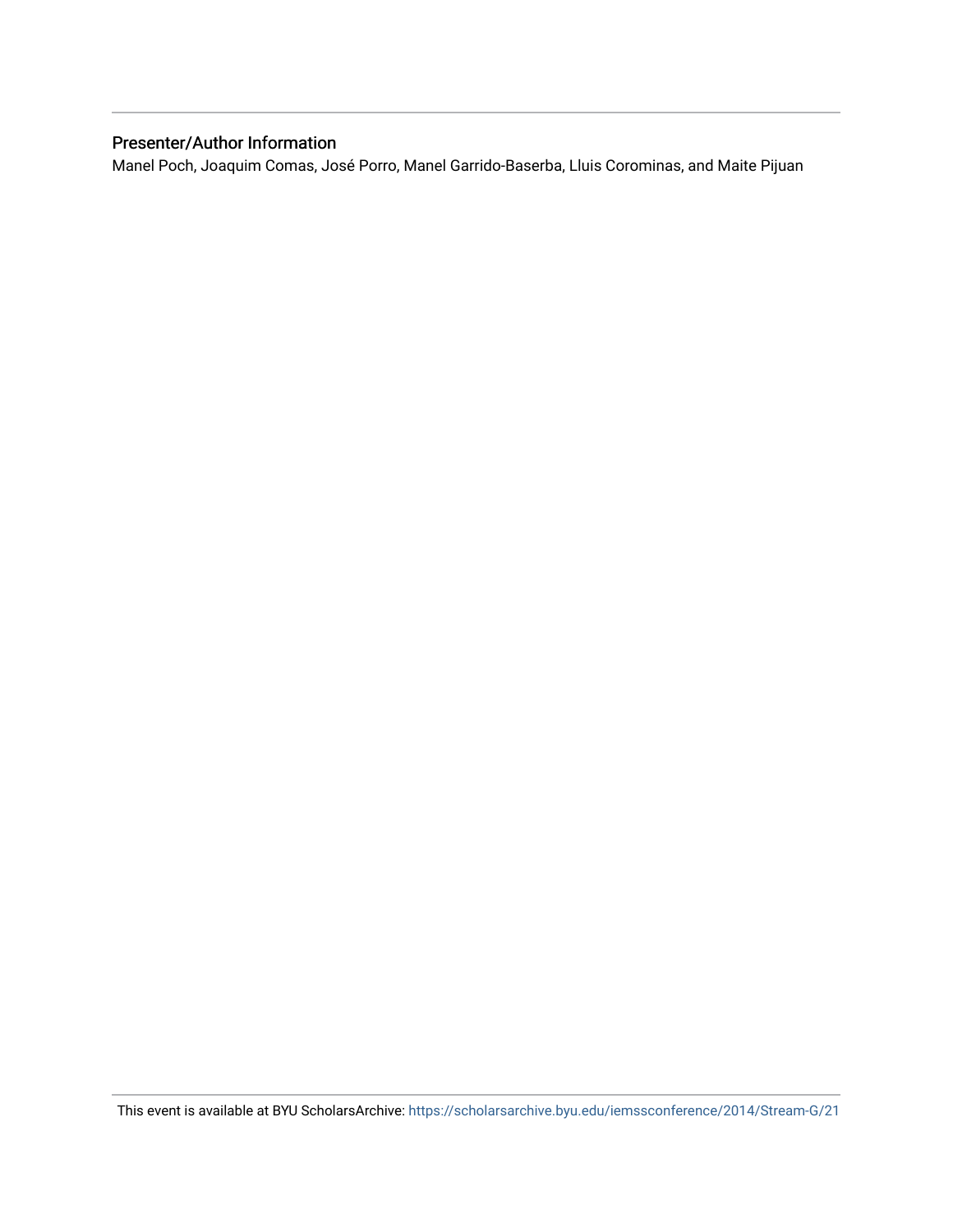## Presenter/Author Information

Manel Poch, Joaquim Comas, José Porro, Manel Garrido-Baserba, Lluis Corominas, and Maite Pijuan

This event is available at BYU ScholarsArchive: <https://scholarsarchive.byu.edu/iemssconference/2014/Stream-G/21>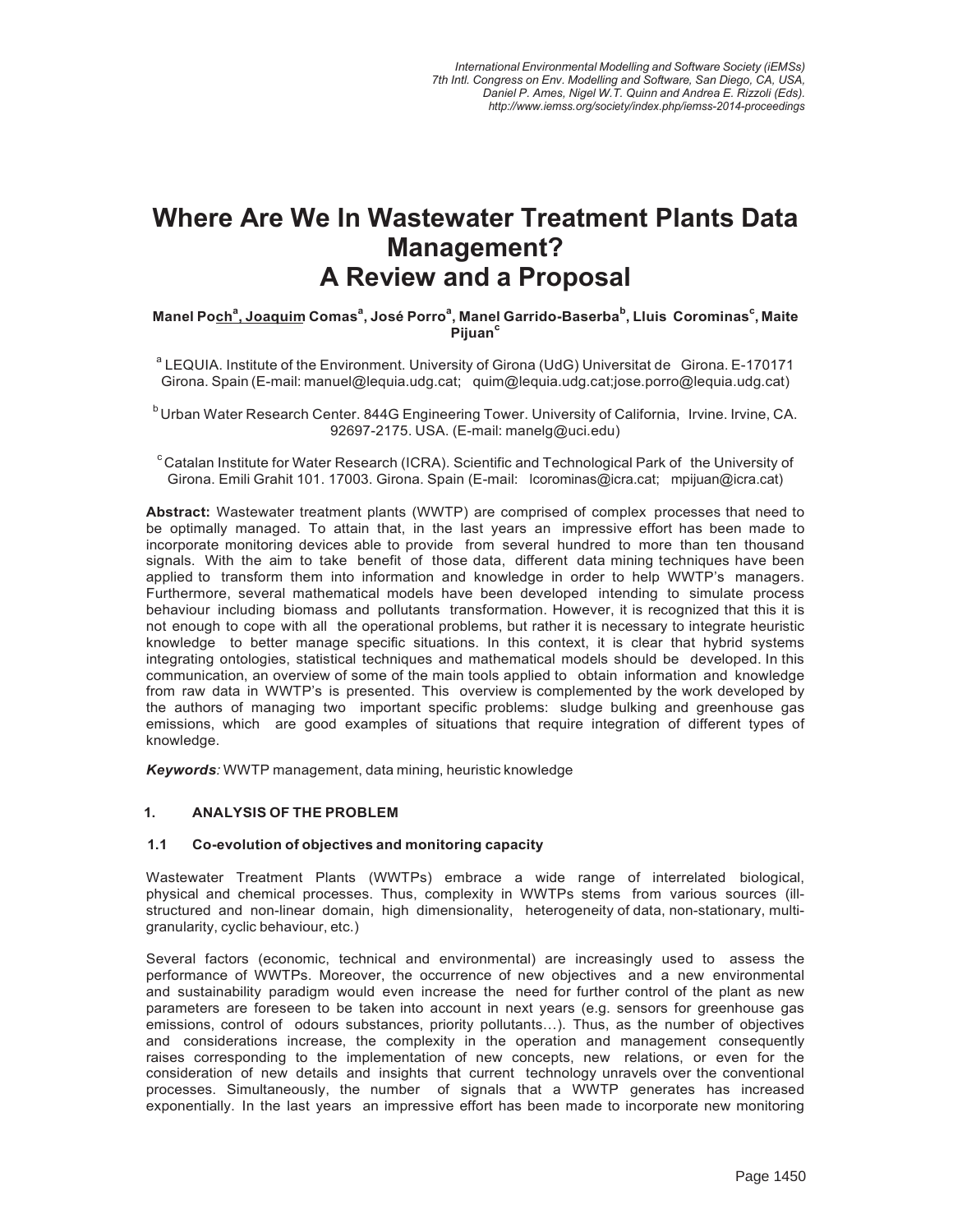## **Where Are We In Wastewater Treatment Plants Data** Management? **A Review and a Proposal**

Manel Poch<sup>a</sup>, Joaquim Comas<sup>a</sup>, José Porro<sup>a</sup>, Manel Garrido-Baserba<sup>b</sup>, Lluis Corominas<sup>c</sup>, Maite Pijuan<sup>c</sup>

<sup>a</sup> LEQUIA. Institute of the Environment. University of Girona (UdG) Universitat de Girona. E-170171 Girona. Spain (E-mail: manuel@lequia.udg.cat; quim@lequia.udg.cat;jose.porro@lequia.udg.cat)

<sup>b</sup> Urban Water Research Center. 844G Engineering Tower. University of California, Irvine. Irvine, CA. 92697-2175. USA. (E-mail: manelg@uci.edu)

<sup>c</sup> Catalan Institute for Water Research (ICRA). Scientific and Technological Park of the University of Girona. Emili Grahit 101. 17003. Girona. Spain (E-mail: lcorominas@icra.cat; mpijuan@icra.cat)

Abstract: Wastewater treatment plants (WWTP) are comprised of complex processes that need to be optimally managed. To attain that, in the last years an impressive effort has been made to incorporate monitoring devices able to provide from several hundred to more than ten thousand signals. With the aim to take benefit of those data, different data mining techniques have been applied to transform them into information and knowledge in order to help WWTP's managers. Furthermore, several mathematical models have been developed intending to simulate process behaviour including biomass and pollutants transformation. However, it is recognized that this it is not enough to cope with all the operational problems, but rather it is necessary to integrate heuristic knowledge to better manage specific situations. In this context, it is clear that hybrid systems integrating ontologies, statistical techniques and mathematical models should be developed. In this communication, an overview of some of the main tools applied to obtain information and knowledge from raw data in WWTP's is presented. This overview is complemented by the work developed by the authors of managing two important specific problems: sludge bulking and greenhouse gas emissions, which are good examples of situations that require integration of different types of knowledge.

Keywords: WWTP management, data mining, heuristic knowledge

#### $1.$ **ANALYSIS OF THE PROBLEM**

#### $1.1$ Co-evolution of objectives and monitoring capacity

Wastewater Treatment Plants (WWTPs) embrace a wide range of interrelated biological, physical and chemical processes. Thus, complexity in WWTPs stems from various sources (illstructured and non-linear domain, high dimensionality, heterogeneity of data, non-stationary, multigranularity, cyclic behaviour, etc.)

Several factors (economic, technical and environmental) are increasingly used to assess the performance of WWTPs. Moreover, the occurrence of new objectives and a new environmental and sustainability paradigm would even increase the need for further control of the plant as new parameters are foreseen to be taken into account in next years (e.g. sensors for greenhouse gas emissions, control of odours substances, priority pollutants...). Thus, as the number of objectives and considerations increase, the complexity in the operation and management consequently raises corresponding to the implementation of new concepts, new relations, or even for the consideration of new details and insights that current technology unravels over the conventional processes. Simultaneously, the number of signals that a WWTP generates has increased exponentially. In the last years an impressive effort has been made to incorporate new monitoring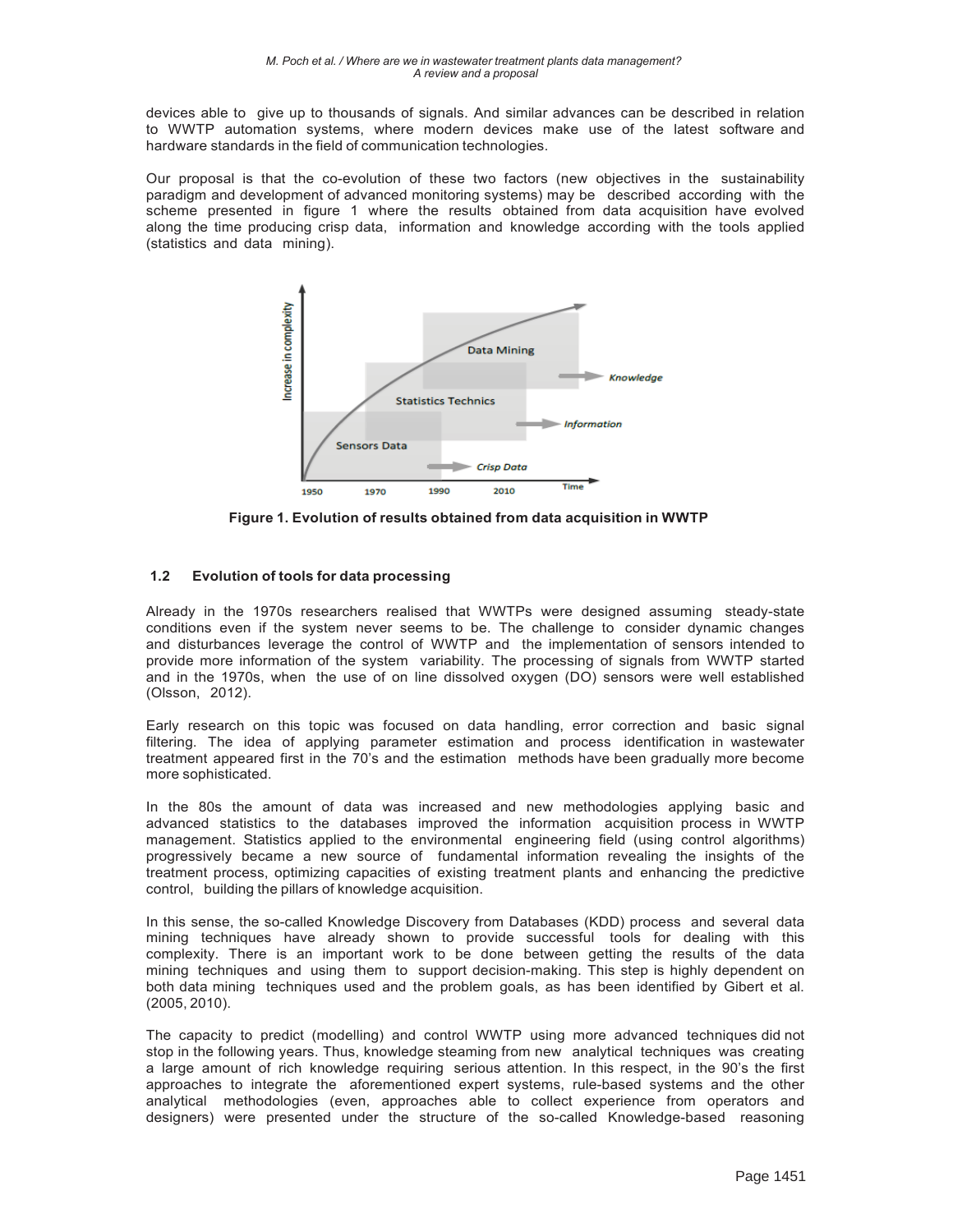devices able to give up to thousands of signals. And similar advances can be described in relation to WWTP automation systems, where modern devices make use of the latest software and hardware standards in the field of communication technologies.

Our proposal is that the co-evolution of these two factors (new objectives in the sustainability paradigm and development of advanced monitoring systems) may be described according with the scheme presented in figure 1 where the results obtained from data acquisition have evolved along the time producing crisp data, information and knowledge according with the tools applied (statistics and data mining).



Figure 1. Evolution of results obtained from data acquisition in WWTP

#### $1.2$ Evolution of tools for data processing

Already in the 1970s researchers realised that WWTPs were designed assuming steady-state conditions even if the system never seems to be. The challenge to consider dynamic changes and disturbances leverage the control of WWTP and the implementation of sensors intended to provide more information of the system variability. The processing of signals from WWTP started and in the 1970s, when the use of on line dissolved oxygen (DO) sensors were well established (Olsson, 2012).

Early research on this topic was focused on data handling, error correction and basic signal filtering. The idea of applying parameter estimation and process identification in wastewater treatment appeared first in the 70's and the estimation methods have been gradually more become more sophisticated.

In the 80s the amount of data was increased and new methodologies applying basic and advanced statistics to the databases improved the information acquisition process in WWTP management. Statistics applied to the environmental engineering field (using control algorithms) progressively became a new source of fundamental information revealing the insights of the treatment process, optimizing capacities of existing treatment plants and enhancing the predictive control, building the pillars of knowledge acquisition.

In this sense, the so-called Knowledge Discovery from Databases (KDD) process and several data mining techniques have already shown to provide successful tools for dealing with this complexity. There is an important work to be done between getting the results of the data mining techniques and using them to support decision-making. This step is highly dependent on both data mining techniques used and the problem goals, as has been identified by Gibert et al.  $(2005, 2010).$ 

The capacity to predict (modelling) and control WWTP using more advanced techniques did not stop in the following years. Thus, knowledge steaming from new analytical techniques was creating a large amount of rich knowledge requiring serious attention. In this respect, in the 90's the first approaches to integrate the aforementioned expert systems, rule-based systems and the other analytical methodologies (even, approaches able to collect experience from operators and designers) were presented under the structure of the so-called Knowledge-based reasoning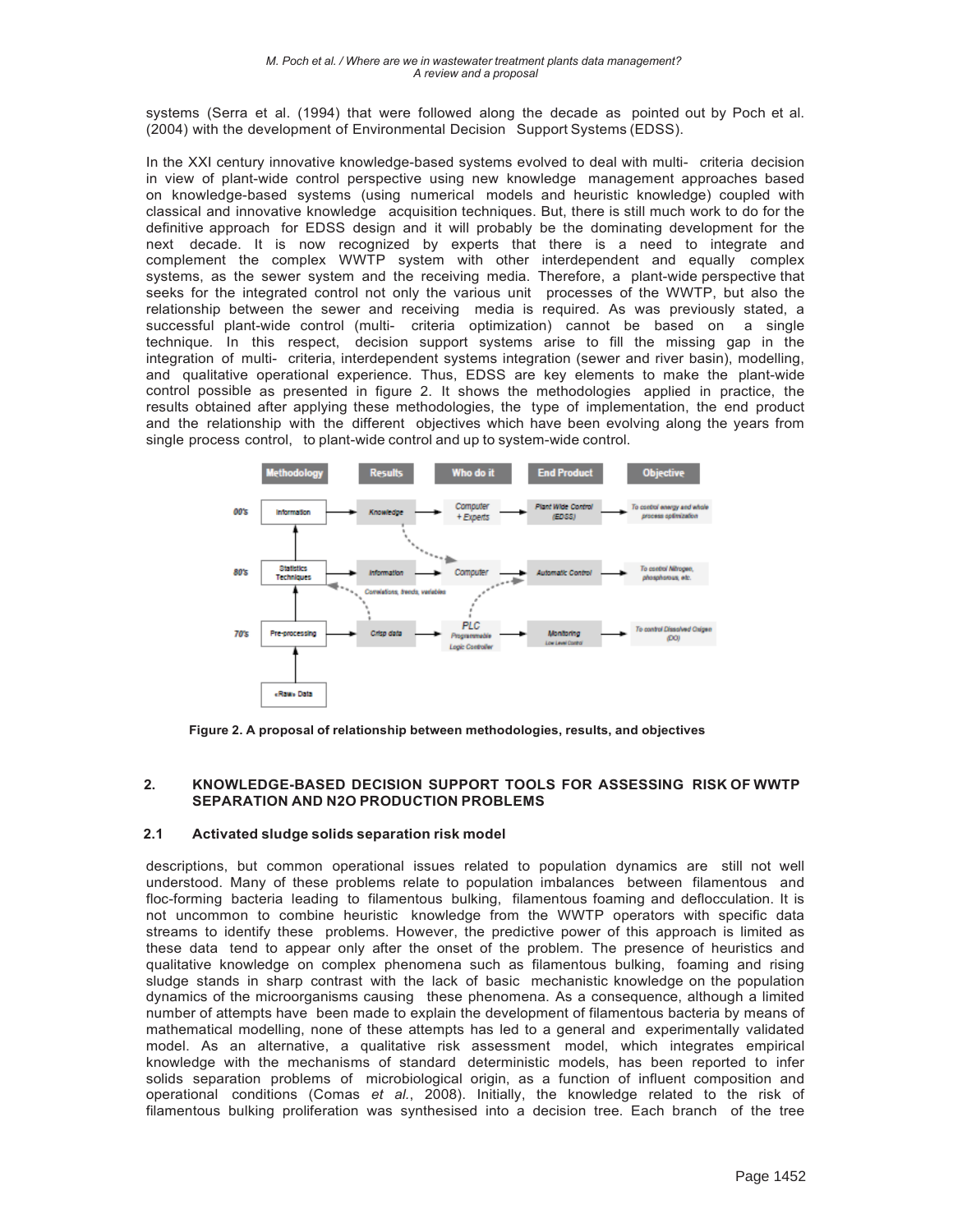systems (Serra et al. (1994) that were followed along the decade as pointed out by Poch et al. (2004) with the development of Environmental Decision Support Systems (EDSS).

In the XXI century innovative knowledge-based systems evolved to deal with multi- criteria decision in view of plant-wide control perspective using new knowledge management approaches based on knowledge-based systems (using numerical models and heuristic knowledge) coupled with classical and innovative knowledge acquisition techniques. But, there is still much work to do for the definitive approach for EDSS design and it will probably be the dominating development for the next decade. It is now recognized by experts that there is a need to integrate and complement the complex WWTP system with other interdependent and equally complex systems, as the sewer system and the receiving media. Therefore, a plant-wide perspective that seeks for the integrated control not only the various unit processes of the WWTP, but also the relationship between the sewer and receiving media is required. As was previously stated, a successful plant-wide control (multi- criteria optimization) cannot be based on a single technique. In this respect, decision support systems arise to fill the missing gap in the integration of multi- criteria, interdependent systems integration (sewer and river basin), modelling, and qualitative operational experience. Thus, EDSS are key elements to make the plant-wide control possible as presented in figure 2. It shows the methodologies applied in practice, the results obtained after applying these methodologies, the type of implementation, the end product and the relationship with the different objectives which have been evolving along the years from single process control, to plant-wide control and up to system-wide control.



Figure 2. A proposal of relationship between methodologies, results, and objectives

#### $\overline{2}$ KNOWLEDGE-BASED DECISION SUPPORT TOOLS FOR ASSESSING RISK OF WWTP **SEPARATION AND N2O PRODUCTION PROBLEMS**

#### $2.1$ Activated sludge solids separation risk model

descriptions, but common operational issues related to population dynamics are still not well understood. Many of these problems relate to population imbalances between filamentous and floc-forming bacteria leading to filamentous bulking, filamentous foaming and deflocculation. It is not uncommon to combine heuristic knowledge from the WWTP operators with specific data streams to identify these problems. However, the predictive power of this approach is limited as these data tend to appear only after the onset of the problem. The presence of heuristics and qualitative knowledge on complex phenomena such as filamentous bulking, foaming and rising sludge stands in sharp contrast with the lack of basic mechanistic knowledge on the population dynamics of the microorganisms causing these phenomena. As a consequence, although a limited number of attempts have been made to explain the development of filamentous bacteria by means of mathematical modelling, none of these attempts has led to a general and experimentally validated model. As an alternative, a qualitative risk assessment model, which integrates empirical knowledge with the mechanisms of standard deterministic models, has been reported to infer solids separation problems of microbiological origin, as a function of influent composition and operational conditions (Comas et al., 2008). Initially, the knowledge related to the risk of filamentous bulking proliferation was synthesised into a decision tree. Each branch of the tree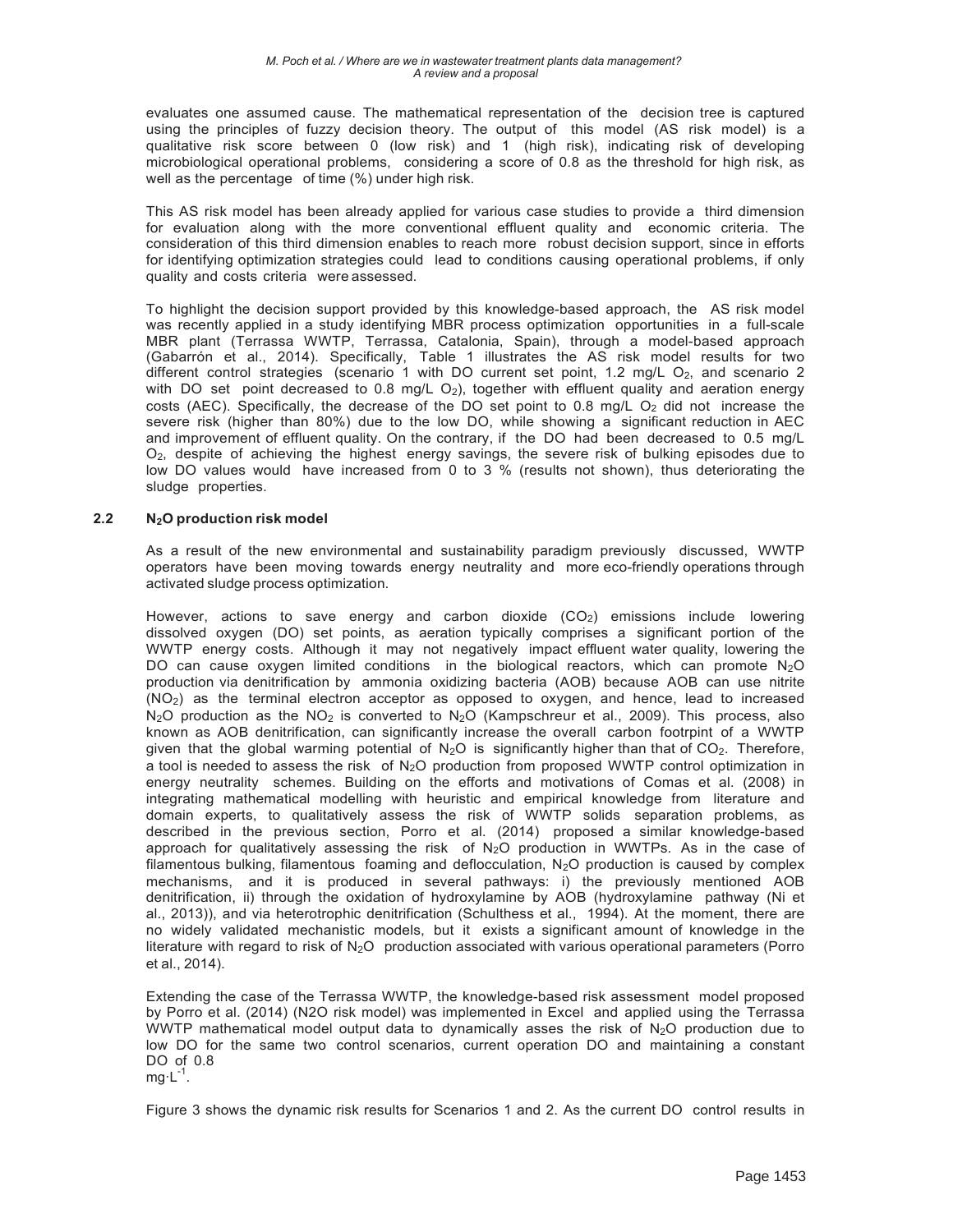evaluates one assumed cause. The mathematical representation of the decision tree is captured using the principles of fuzzy decision theory. The output of this model (AS risk model) is a qualitative risk score between 0 (low risk) and 1 (high risk), indicating risk of developing microbiological operational problems, considering a score of 0.8 as the threshold for high risk, as well as the percentage of time (%) under high risk.

This AS risk model has been already applied for various case studies to provide a third dimension for evaluation along with the more conventional effluent quality and economic criteria. The consideration of this third dimension enables to reach more robust decision support, since in efforts for identifying optimization strategies could lead to conditions causing operational problems, if only quality and costs criteria were assessed.

To highlight the decision support provided by this knowledge-based approach, the AS risk model was recently applied in a study identifying MBR process optimization opportunities in a full-scale MBR plant (Terrassa WWTP, Terrassa, Catalonia, Spain), through a model-based approach (Gabarrón et al., 2014). Specifically, Table 1 illustrates the AS risk model results for two different control strategies (scenario 1 with DO current set point, 1.2 mg/L  $O_2$ , and scenario 2 with DO set point decreased to 0.8 mg/L  $O_2$ ), together with effluent quality and aeration energy costs (AEC). Specifically, the decrease of the DO set point to 0.8 mg/L  $O_2$  did not increase the severe risk (higher than 80%) due to the low DO, while showing a significant reduction in AEC and improvement of effluent quality. On the contrary, if the DO had been decreased to 0.5 mg/L O<sub>2</sub>, despite of achieving the highest energy savings, the severe risk of bulking episodes due to low DO values would have increased from 0 to  $3\%$  (results not shown), thus deteriorating the sludge properties.

#### $2.2$ N<sub>2</sub>O production risk model

As a result of the new environmental and sustainability paradiam previously discussed. WWTP operators have been moving towards energy neutrality and more eco-friendly operations through activated sludge process optimization.

However, actions to save energy and carbon dioxide (CO<sub>2</sub>) emissions include lowering dissolved oxygen (DO) set points, as aeration typically comprises a significant portion of the WWTP energy costs. Although it may not negatively impact effluent water quality, lowering the DO can cause oxygen limited conditions in the biological reactors, which can promote  $N_2O$ production via denitrification by ammonia oxidizing bacteria (AOB) because AOB can use nitrite (NO<sub>2</sub>) as the terminal electron acceptor as opposed to oxygen, and hence, lead to increased  $N_2O$  production as the  $NO_2$  is converted to  $N_2O$  (Kampschreur et al., 2009). This process, also known as AOB denitrification, can significantly increase the overall carbon footrpint of a WWTP given that the global warming potential of  $N_2O$  is significantly higher than that of  $CO_2$ . Therefore, a tool is needed to assess the risk of N<sub>2</sub>O production from proposed WWTP control optimization in energy neutrality schemes. Building on the efforts and motivations of Comas et al. (2008) in integrating mathematical modelling with heuristic and empirical knowledge from literature and domain experts, to qualitatively assess the risk of WWTP solids separation problems, as described in the previous section, Porro et al. (2014) proposed a similar knowledge-based approach for qualitatively assessing the risk of  $N_2O$  production in WWTPs. As in the case of filamentous bulking, filamentous foaming and deflocculation, N<sub>2</sub>O production is caused by complex mechanisms, and it is produced in several pathways: i) the previously mentioned AOB denitrification, ii) through the oxidation of hydroxylamine by AOB (hydroxylamine pathway (Ni et al., 2013)), and via heterotrophic denitrification (Schulthess et al., 1994). At the moment, there are no widely validated mechanistic models, but it exists a significant amount of knowledge in the literature with regard to risk of  $N_2O$  production associated with various operational parameters (Porro et al., 2014).

Extending the case of the Terrassa WWTP, the knowledge-based risk assessment model proposed by Porro et al. (2014) (N2O risk model) was implemented in Excel and applied using the Terrassa WWTP mathematical model output data to dynamically asses the risk of  $N_2O$  production due to low DO for the same two control scenarios, current operation DO and maintaining a constant DO of 0.8  $mg \cdot L^{-1}$ .

Figure 3 shows the dynamic risk results for Scenarios 1 and 2. As the current DO control results in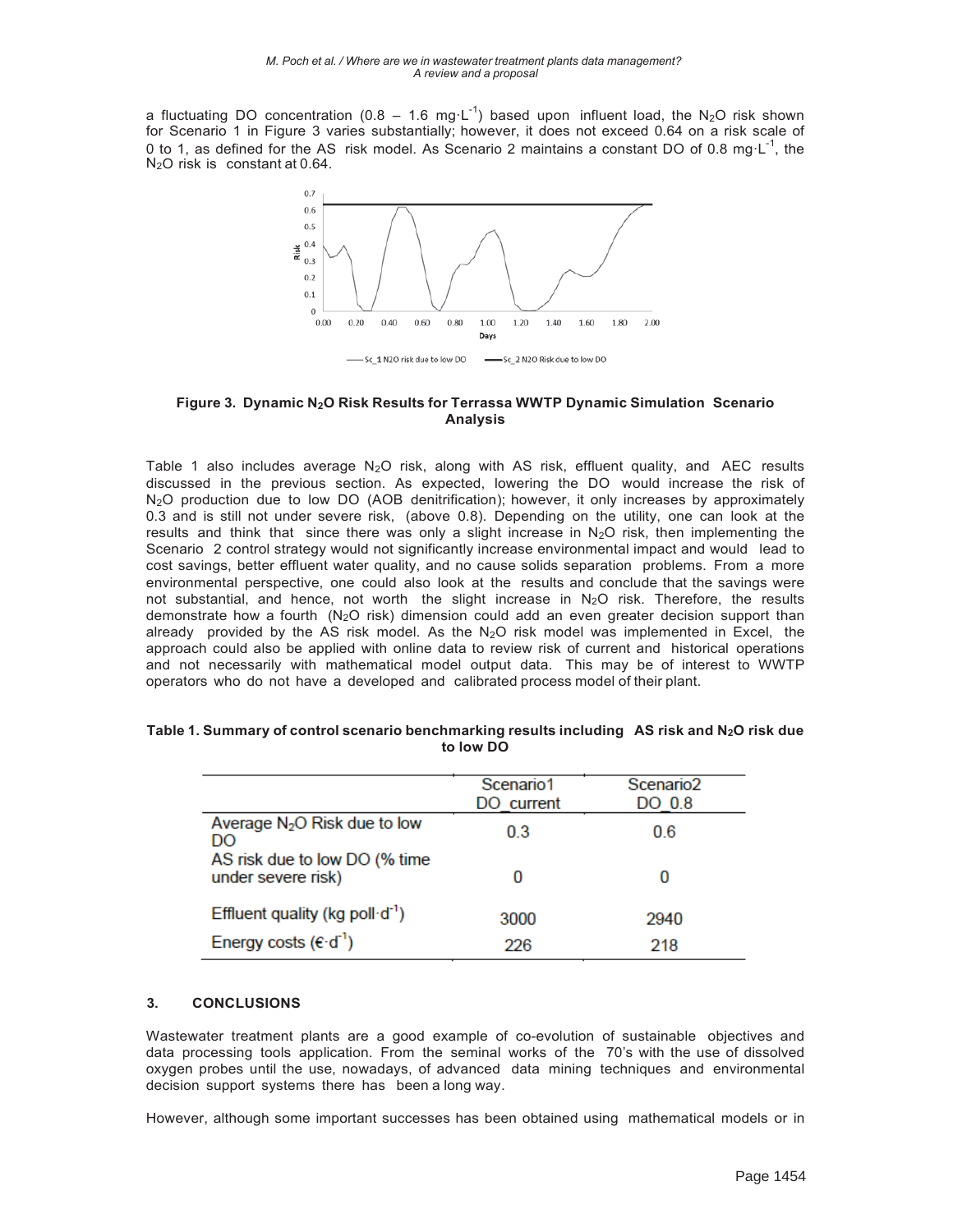a fluctuating DO concentration (0.8 - 1.6 mg·L<sup>-1</sup>) based upon influent load, the N<sub>2</sub>O risk shown for Scenario 1 in Figure 3 varies substantially; however, it does not exceed 0.64 on a risk scale of 0 to 1, as defined for the AS risk model. As Scenario 2 maintains a constant DO of 0.8 mg  $L^{-1}$ , the N<sub>2</sub>O risk is constant at 0.64.



### Figure 3. Dynamic N<sub>2</sub>O Risk Results for Terrassa WWTP Dynamic Simulation Scenario **Analysis**

Table 1 also includes average  $N_2O$  risk, along with AS risk, effluent quality, and AEC results discussed in the previous section. As expected, lowering the DO would increase the risk of N<sub>2</sub>O production due to low DO (AOB denitrification); however, it only increases by approximately 0.3 and is still not under severe risk, (above 0.8). Depending on the utility, one can look at the results and think that since there was only a slight increase in  $N_2O$  risk, then implementing the Scenario 2 control strategy would not significantly increase environmental impact and would lead to cost savings, better effluent water quality, and no cause solids separation problems. From a more environmental perspective, one could also look at the results and conclude that the savings were not substantial, and hence, not worth the slight increase in N<sub>2</sub>O risk. Therefore, the results demonstrate how a fourth ( $N_2O$  risk) dimension could add an even greater decision support than already provided by the AS risk model. As the  $N_2O$  risk model was implemented in Excel, the approach could also be applied with online data to review risk of current and historical operations and not necessarily with mathematical model output data. This may be of interest to WWTP operators who do not have a developed and calibrated process model of their plant.

|                                                     | Scenario1<br>DO current | Scenario <sub>2</sub><br>DO 0.8 |
|-----------------------------------------------------|-------------------------|---------------------------------|
| Average $N_2O$ Risk due to low<br>DO                | 0.3                     | 0.6                             |
| AS risk due to low DO (% time<br>under severe risk) | 0                       |                                 |
| Effluent quality (kg poll $d^1$ )                   | 3000                    | 2940                            |
| Energy costs $(\epsilon \cdot d^{-1})$              | 226                     | 218                             |

### Table 1. Summary of control scenario benchmarking results including AS risk and N<sub>2</sub>O risk due to low DO

#### $3.$ **CONCLUSIONS**

Wastewater treatment plants are a good example of co-evolution of sustainable objectives and data processing tools application. From the seminal works of the 70's with the use of dissolved oxygen probes until the use, nowadays, of advanced data mining techniques and environmental decision support systems there has been a long way.

However, although some important successes has been obtained using mathematical models or in